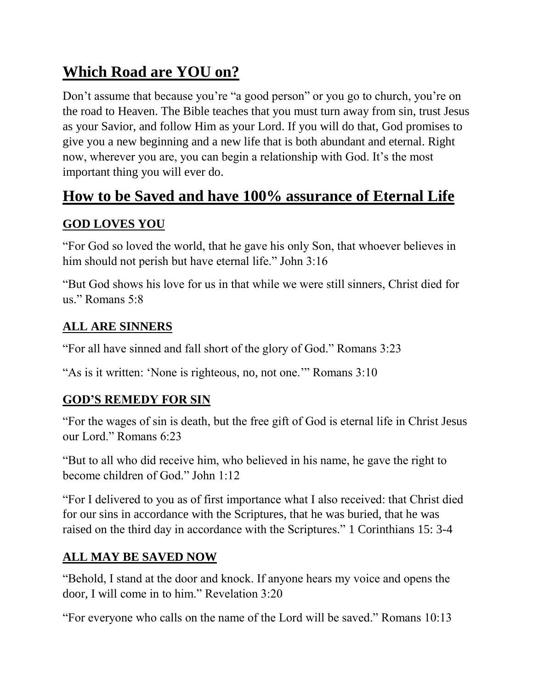# **Which Road are YOU on?**

Don't assume that because you're "a good person" or you go to church, you're on the road to Heaven. The Bible teaches that you must turn away from sin, trust Jesus as your Savior, and follow Him as your Lord. If you will do that, God promises to give you a new beginning and a new life that is both abundant and eternal. Right now, wherever you are, you can begin a relationship with God. It's the most important thing you will ever do.

### **How to be Saved and have 100% assurance of Eternal Life**

### **GOD LOVES YOU**

"For God so loved the world, that he gave his only Son, that whoever believes in him should not perish but have eternal life." John 3:16

"But God shows his love for us in that while we were still sinners, Christ died for us." Romans 5:8

#### **ALL ARE SINNERS**

"For all have sinned and fall short of the glory of God." Romans 3:23

"As is it written: 'None is righteous, no, not one.'" Romans 3:10

#### **GOD'S REMEDY FOR SIN**

"For the wages of sin is death, but the free gift of God is eternal life in Christ Jesus our Lord." Romans 6:23

"But to all who did receive him, who believed in his name, he gave the right to become children of God." John 1:12

"For I delivered to you as of first importance what I also received: that Christ died for our sins in accordance with the Scriptures, that he was buried, that he was raised on the third day in accordance with the Scriptures." 1 Corinthians 15: 3-4

#### **ALL MAY BE SAVED NOW**

"Behold, I stand at the door and knock. If anyone hears my voice and opens the door, I will come in to him." Revelation 3:20

"For everyone who calls on the name of the Lord will be saved." Romans 10:13